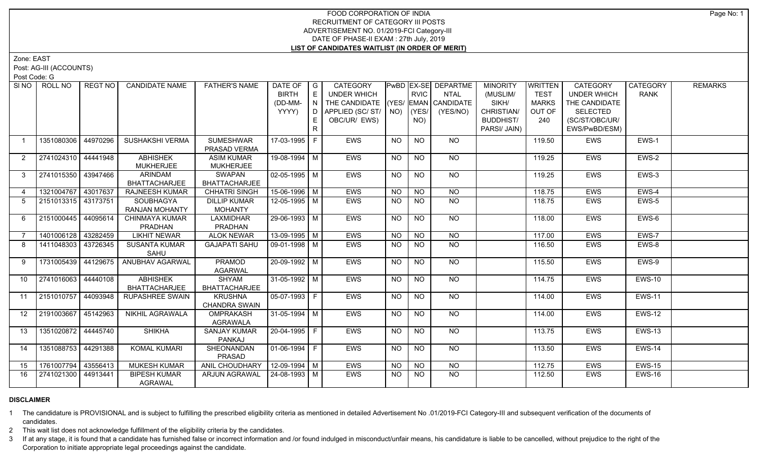## FOOD CORPORATION OF INDIA RECRUITMENT OF CATEGORY III POSTS ADVERTISEMENT NO. 01/2019-FCI Category-III DATE OF PHASE-II EXAM : 27th July, 2019 **LIST OF CANDIDATES WAITLIST (IN ORDER OF MERIT)**

Zone: EAST

Post: AG-III (ACCOUNTS)

Post Code: G

| SI NO 1         | ROLL NO               | REGT NO | <b>CANDIDATE NAME</b>  | <b>FATHER'S NAME</b>            | DATE OF $ G $      |     | <b>CATEGORY</b>                    |           |                | PwBD EX-SE DEPARTME | <b>MINORITY</b>  | WRITTEN      | CATEGORY           | CATEGORY      | <b>REMARKS</b> |
|-----------------|-----------------------|---------|------------------------|---------------------------------|--------------------|-----|------------------------------------|-----------|----------------|---------------------|------------------|--------------|--------------------|---------------|----------------|
|                 |                       |         |                        |                                 | <b>BIRTH</b>       | E   | <b>UNDER WHICH</b>                 |           | <b>RVIC</b>    | <b>NTAL</b>         | (MUSLIM/         | TEST         | <b>UNDER WHICH</b> | <b>RANK</b>   |                |
|                 |                       |         |                        |                                 | (DD-MM-            | N   | THE CANDIDATE (YES/ EMAN CANDIDATE |           |                |                     | SIKH/            | <b>MARKS</b> | THE CANDIDATE      |               |                |
|                 |                       |         |                        |                                 | YYYY)              | D I | APPLIED (SC/ST/ NO)                |           | (YES/          | (YES/NO)            | CHRISTIAN/       | OUT OF       | <b>SELECTED</b>    |               |                |
|                 |                       |         |                        |                                 |                    |     | OBC/UR/ EWS)                       |           | NO)            |                     | <b>BUDDHIST/</b> | 240          | (SC/ST/OBC/UR/     |               |                |
|                 |                       |         |                        |                                 |                    | R.  |                                    |           |                |                     | PARSI/ JAIN)     |              | EWS/PwBD/ESM)      |               |                |
|                 | 1351080306   44970296 |         | <b>SUSHAKSHI VERMA</b> | <b>SUMESHWAR</b>                | 17-03-1995 F       |     | EWS                                | NO.       | NO             | NO.                 |                  | 119.50       | EWS                | EWS-1         |                |
|                 |                       |         |                        | PRASAD VERMA                    |                    |     |                                    |           |                |                     |                  |              |                    |               |                |
| 2               | 2741024310 44441948   |         | <b>ABHISHEK</b>        | <b>ASIM KUMAR</b>               | 19-08-1994 M       |     | EWS                                | <b>NO</b> | <b>NO</b>      | <b>NO</b>           |                  | 119.25       | <b>EWS</b>         | EWS-2         |                |
|                 |                       |         | <b>MUKHERJEE</b>       | <b>MUKHERJEE</b>                |                    |     |                                    |           |                |                     |                  |              |                    |               |                |
| $\mathbf{3}$    | 2741015350 43947466   |         | <b>ARINDAM</b>         | <b>SWAPAN</b>                   | $02 - 05 - 1995$ M |     | <b>EWS</b>                         | <b>NO</b> | <b>NO</b>      | N <sub>O</sub>      |                  | 119.25       | <b>EWS</b>         | EWS-3         |                |
|                 |                       |         | BHATTACHARJEE          | <b>BHATTACHARJEE</b>            |                    |     |                                    |           |                |                     |                  |              |                    |               |                |
| $\overline{4}$  | 1321004767 43017637   |         | <b>RAJNEESH KUMAR</b>  | <b>CHHATRI SINGH</b>            | 15-06-1996 M       |     | <b>EWS</b>                         | <b>NO</b> | N <sub>O</sub> | N <sub>O</sub>      |                  | 118.75       | <b>EWS</b>         | EWS-4         |                |
| 5               | 2151013315 43173751   |         | SOUBHAGYA              | <b>DILLIP KUMAR</b>             | 12-05-1995 M       |     | <b>EWS</b>                         | <b>NO</b> | <b>NO</b>      | NO                  |                  | 118.75       | EWS                | EWS-5         |                |
|                 |                       |         | <b>RANJAN MOHANTY</b>  | <b>MOHANTY</b>                  |                    |     |                                    |           |                |                     |                  |              |                    |               |                |
| 6               | 2151000445 44095614   |         | <b>CHINMAYA KUMAR</b>  | <b>LAXMIDHAR</b>                | $29 - 06 - 1993$ M |     | <b>EWS</b>                         | <b>NO</b> | N <sub>O</sub> | $N$ <sup>O</sup>    |                  | 118.00       | <b>EWS</b>         | EWS-6         |                |
|                 |                       |         | PRADHAN                | PRADHAN                         |                    |     |                                    |           |                |                     |                  |              |                    |               |                |
| $\overline{7}$  | 1401006128 43282459   |         | <b>LIKHIT NEWAR</b>    | <b>ALOK NEWAR</b>               | $13-09-1995$ M     |     | <b>EWS</b>                         | NO        | $N$ O          | NO                  |                  | 117.00       | EWS                | EWS-7         |                |
| 8               | 1411048303 43726345   |         | <b>SUSANTA KUMAR</b>   | <b>GAJAPATI SAHU</b>            | 09-01-1998 M       |     | <b>EWS</b>                         | <b>NO</b> | NO             | <b>NO</b>           |                  | 116.50       | EWS                | EWS-8         |                |
|                 |                       |         | SAHU                   |                                 |                    |     |                                    |           |                |                     |                  |              |                    |               |                |
| 9               | 1731005439 44129675   |         | ANUBHAV AGARWAL        | PRAMOD                          | 20-09-1992 M       |     | EWS                                | <b>NO</b> | <b>NO</b>      | NO                  |                  | 115.50       | EWS                | EWS-9         |                |
|                 |                       |         |                        | <b>AGARWAL</b>                  |                    |     |                                    |           |                |                     |                  |              |                    |               |                |
| 10 <sup>°</sup> | 2741016063 44440108   |         | <b>ABHISHEK</b>        | SHYAM                           | 31-05-1992   M     |     | EWS                                | <b>NO</b> | NO             | NO                  |                  | 114.75       | <b>EWS</b>         | <b>EWS-10</b> |                |
|                 |                       |         | <b>BHATTACHARJEE</b>   | <b>BHATTACHARJEE</b>            |                    |     |                                    |           |                |                     |                  |              |                    |               |                |
| 11              | 2151010757 44093948   |         | <b>RUPASHREE SWAIN</b> | <b>KRUSHNA</b>                  | 05-07-1993 F       |     | EWS                                | <b>NO</b> | NO             | NO.                 |                  | 114.00       | <b>EWS</b>         | <b>EWS-11</b> |                |
|                 |                       |         |                        | <b>CHANDRA SWAIN</b>            |                    |     |                                    |           |                |                     |                  |              |                    |               |                |
| 12 <sup>2</sup> | 2191003667 45142963   |         | NIKHIL AGRAWALA        | OMPRAKASH                       | $31-05-1994$ M     |     | <b>EWS</b>                         | <b>NO</b> | NO             | NO                  |                  | 114.00       | <b>EWS</b>         | <b>EWS-12</b> |                |
|                 |                       |         |                        | AGRAWALA                        |                    |     |                                    |           |                |                     |                  |              |                    |               |                |
| 13              | 1351020872 44445740   |         | <b>SHIKHA</b>          | <b>SANJAY KUMAR</b>             | 20-04-1995 F       |     | <b>EWS</b>                         | <b>NO</b> | NO             | NO                  |                  | 113.75       | EWS                | <b>EWS-13</b> |                |
|                 |                       |         |                        | PANKAJ                          |                    |     |                                    |           |                |                     |                  |              |                    |               |                |
| 14              | 1351088753 44291388   |         | <b>KOMAL KUMARI</b>    | SHEONANDAN                      | $01-06-1994$ F     |     | <b>EWS</b>                         | <b>NO</b> | <b>NO</b>      | <b>NO</b>           |                  | 113.50       | <b>EWS</b>         | <b>EWS-14</b> |                |
|                 |                       |         |                        | PRASAD                          |                    |     |                                    |           |                |                     |                  |              |                    |               |                |
| 15              | 1761007794 43556413   |         | <b>MUKESH KUMAR</b>    | ANIL CHOUDHARY   12-09-1994   M |                    |     | <b>EWS</b>                         | <b>NO</b> | <b>NO</b>      | <b>NO</b>           |                  | 112.75       | EWS                | <b>EWS-15</b> |                |
| 16              | 2741021300 44913441   |         | <b>BIPESH KUMAR</b>    | <b>ARJUN AGRAWAL</b>            | l 24-08-1993 l M   |     | <b>EWS</b>                         | NO.       | NO.            | <b>NO</b>           |                  | 112.50       | <b>EWS</b>         | <b>EWS-16</b> |                |
|                 |                       |         | <b>AGRAWAL</b>         |                                 |                    |     |                                    |           |                |                     |                  |              |                    |               |                |

## **DISCLAIMER**

1 The candidature is PROVISIONAL and is subject to fulfilling the prescribed eligibility criteria as mentioned in detailed Advertisement No .01/2019-FCI Category-III and subsequent verification of the documents of candidates.

2 This wait list does not acknowledge fulfillment of the eligibility criteria by the candidates.

3 If at any stage, it is found that a candidate has furnished false or incorrect information and /or found indulged in misconduct/unfair means, his candidature is liable to be cancelled, without prejudice to the right of t Corporation to initiate appropriate legal proceedings against the candidate.

Page No: 1